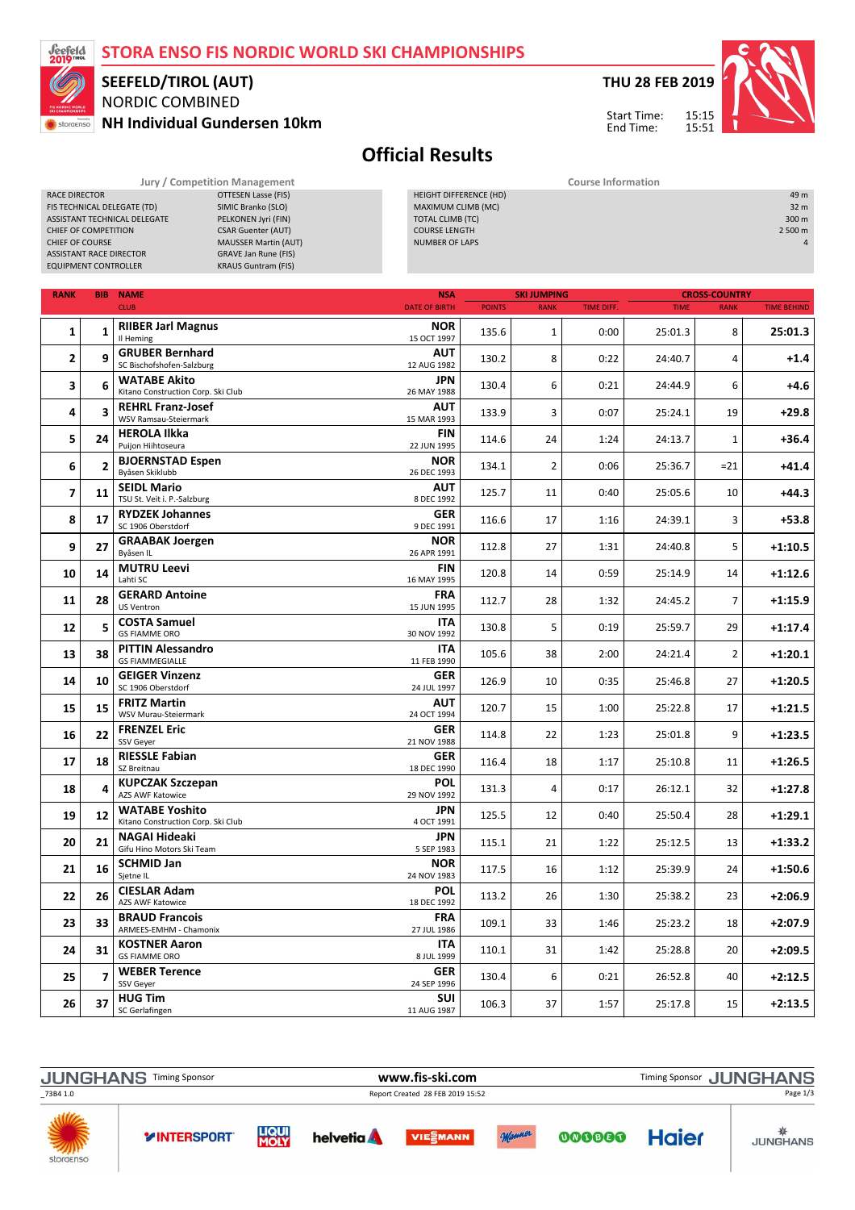## STORA ENSO FIS NORDIC WORLD SKI CHAMPIONSHIPS



CHIEF OF COMPETITION<br>CHIEF OF COURSE

## NORDIC COMBINED NH Individual Gundersen 10km SEEFELD/TIROL (AUT)

MAUSSER Martin (AUT)

RACE DIRECTOR **OTTESEN Lasse (FIS)**<br>FIS TECHNICAL DELEGATE (TD) SIMIC Branko (SLO) FIS TECHNICAL DELEGATE (TD) SIMIC Branko (SLO)<br>ASSISTANT TECHNICAL DELEGATE PELKONEN Jyri (FIN) ASSISTANT TECHNICAL DELEGATE<br>CHIEF OF COMPETITION CSAR Guenter (AUT) THU 28 FEB 2019



Start Time: End Time:

HEIGHT DIFFERENCE (HD) 49 m MAXIMUM CLIMB (MC)<br>
MAXIMUM CLIMB (MC)<br>
TOTAL CLIMB (TC) 300 m TOTAL CLIMB (TC) 300 m<br>
COURSE LENGTH 2 500 m<br>
2 500 m COURSE LENGTH<br>
COURSE LENGTH<br>
NUMBER OF LAPS
2500 m<br>
2500 m

## Official Results

NUMBER OF LAPS

Jury / Competition Management **Course Information** 

| <b>EQUIPMENT CONTROLLER</b> |                         | <b>GRAVE Jan Rune (FIS)</b><br><b>ASSISTANT RACE DIRECTOR</b><br><b>KRAUS Guntram (FIS)</b> |                                    |               |                                   |                   |             |                                     |                    |
|-----------------------------|-------------------------|---------------------------------------------------------------------------------------------|------------------------------------|---------------|-----------------------------------|-------------------|-------------|-------------------------------------|--------------------|
|                             |                         |                                                                                             |                                    |               |                                   |                   |             |                                     |                    |
| <b>RANK</b>                 |                         | <b>BIB NAME</b><br><b>CLUB</b>                                                              | <b>NSA</b><br><b>DATE OF BIRTH</b> | <b>POINTS</b> | <b>SKI JUMPING</b><br><b>RANK</b> | <b>TIME DIFF.</b> | <b>TIME</b> | <b>CROSS-COUNTRY</b><br><b>RANK</b> | <b>TIME BEHIND</b> |
| 1                           | 1                       | <b>RIIBER Jarl Magnus</b><br>Il Heming                                                      | <b>NOR</b><br>15 OCT 1997          | 135.6         | 1                                 | 0:00              | 25:01.3     | 8                                   | 25:01.3            |
| $\mathbf{2}$                | 9                       | <b>GRUBER Bernhard</b><br>SC Bischofshofen-Salzburg                                         | <b>AUT</b><br>12 AUG 1982          | 130.2         | 8                                 | 0:22              | 24:40.7     | 4                                   | $+1.4$             |
| 3                           | 6                       | <b>WATABE Akito</b><br>Kitano Construction Corp. Ski Club                                   | <b>JPN</b><br>26 MAY 1988          | 130.4         | 6                                 | 0:21              | 24:44.9     | 6                                   | +4.6               |
| 4                           | 3                       | <b>REHRL Franz-Josef</b><br>WSV Ramsau-Steiermark                                           | <b>AUT</b><br>15 MAR 1993          | 133.9         | 3                                 | 0:07              | 25:24.1     | 19                                  | $+29.8$            |
| 5                           | 24                      | <b>HEROLA Ilkka</b><br>Puijon Hiihtoseura                                                   | <b>FIN</b><br>22 JUN 1995          | 114.6         | 24                                | 1:24              | 24:13.7     | $\mathbf{1}$                        | $+36.4$            |
| 6                           | $\overline{2}$          | <b>BJOERNSTAD Espen</b><br>Byåsen Skiklubb                                                  | <b>NOR</b><br>26 DEC 1993          | 134.1         | $\overline{2}$                    | 0:06              | 25:36.7     | $= 21$                              | $+41.4$            |
| $\overline{7}$              | 11                      | <b>SEIDL Mario</b><br>TSU St. Veit i. P.-Salzburg                                           | <b>AUT</b><br>8 DEC 1992           | 125.7         | 11                                | 0:40              | 25:05.6     | 10                                  | +44.3              |
| 8                           | 17                      | <b>RYDZEK Johannes</b><br>SC 1906 Oberstdorf                                                | GER<br>9 DEC 1991                  | 116.6         | 17                                | 1:16              | 24:39.1     | 3                                   | $+53.8$            |
| 9                           | 27                      | <b>GRAABAK Joergen</b><br>Byåsen IL                                                         | <b>NOR</b><br>26 APR 1991          | 112.8         | 27                                | 1:31              | 24:40.8     | 5                                   | $+1:10.5$          |
| 10                          | 14                      | <b>MUTRU Leevi</b><br>Lahti SC                                                              | <b>FIN</b><br>16 MAY 1995          | 120.8         | 14                                | 0:59              | 25:14.9     | 14                                  | $+1:12.6$          |
| 11                          | 28                      | <b>GERARD Antoine</b><br><b>US Ventron</b>                                                  | <b>FRA</b><br>15 JUN 1995          | 112.7         | 28                                | 1:32              | 24:45.2     | $\overline{7}$                      | $+1:15.9$          |
| 12                          | 5                       | <b>COSTA Samuel</b><br><b>GS FIAMME ORO</b>                                                 | ITA<br>30 NOV 1992                 | 130.8         | 5                                 | 0:19              | 25:59.7     | 29                                  | $+1:17.4$          |
| 13                          | 38                      | <b>PITTIN Alessandro</b><br><b>GS FIAMMEGIALLE</b>                                          | <b>ITA</b><br>11 FEB 1990          | 105.6         | 38                                | 2:00              | 24:21.4     | $\overline{2}$                      | $+1:20.1$          |
| 14                          | 10                      | <b>GEIGER Vinzenz</b><br>SC 1906 Oberstdorf                                                 | <b>GER</b><br>24 JUL 1997          | 126.9         | 10                                | 0:35              | 25:46.8     | 27                                  | $+1:20.5$          |
| 15                          | 15                      | <b>FRITZ Martin</b><br>WSV Murau-Steiermark                                                 | <b>AUT</b><br>24 OCT 1994          | 120.7         | 15                                | 1:00              | 25:22.8     | 17                                  | $+1:21.5$          |
| 16                          | 22                      | <b>FRENZEL Eric</b><br>SSV Geyer                                                            | <b>GER</b><br>21 NOV 1988          | 114.8         | 22                                | 1:23              | 25:01.8     | 9                                   | $+1:23.5$          |
| 17                          | 18                      | <b>RIESSLE Fabian</b><br>SZ Breitnau                                                        | GER<br>18 DEC 1990                 | 116.4         | 18                                | 1:17              | 25:10.8     | 11                                  | $+1:26.5$          |
| 18                          | 4                       | <b>KUPCZAK Szczepan</b><br><b>AZS AWF Katowice</b>                                          | <b>POL</b><br>29 NOV 1992          | 131.3         | 4                                 | 0:17              | 26:12.1     | 32                                  | $+1:27.8$          |
| 19                          | 12                      | <b>WATABE Yoshito</b><br>Kitano Construction Corp. Ski Club                                 | <b>JPN</b><br>4 OCT 1991           | 125.5         | 12                                | 0:40              | 25:50.4     | 28                                  | $+1:29.1$          |
| 20                          | 21                      | <b>NAGAI Hideaki</b><br>Gifu Hino Motors Ski Team                                           | <b>JPN</b><br>5 SEP 1983           | 115.1         | 21                                | 1:22              | 25:12.5     | 13                                  | $+1:33.2$          |
| 21                          | 16                      | <b>SCHMID Jan</b><br>Sjetne IL                                                              | NOR<br>24 NOV 1983                 | 117.5         | 16                                | 1:12              | 25:39.9     | 24                                  | $+1:50.6$          |
| 22                          | 26                      | <b>CIESLAR Adam</b><br><b>AZS AWF Katowice</b>                                              | <b>POL</b><br>18 DEC 1992          | 113.2         | 26                                | 1:30              | 25:38.2     | 23                                  | $+2:06.9$          |
| 23                          | 33                      | <b>BRAUD Francois</b><br>ARMEES-EMHM - Chamonix                                             | <b>FRA</b><br>27 JUL 1986          | 109.1         | 33                                | 1:46              | 25:23.2     | 18                                  | $+2:07.9$          |
| 24                          | 31                      | <b>KOSTNER Aaron</b><br><b>GS FIAMME ORO</b>                                                | <b>ITA</b><br>8 JUL 1999           | 110.1         | 31                                | 1:42              | 25:28.8     | 20                                  | $+2:09.5$          |
| 25                          | $\overline{\mathbf{z}}$ | <b>WEBER Terence</b><br>SSV Geyer                                                           | <b>GER</b><br>24 SEP 1996          | 130.4         | 6                                 | 0:21              | 26:52.8     | 40                                  | $+2:12.5$          |
| 26                          | 37                      | <b>HUG Tim</b><br>SC Gerlafingen                                                            | SUI<br>11 AUG 1987                 | 106.3         | 37                                | 1:57              | 25:17.8     | 15                                  | $+2:13.5$          |

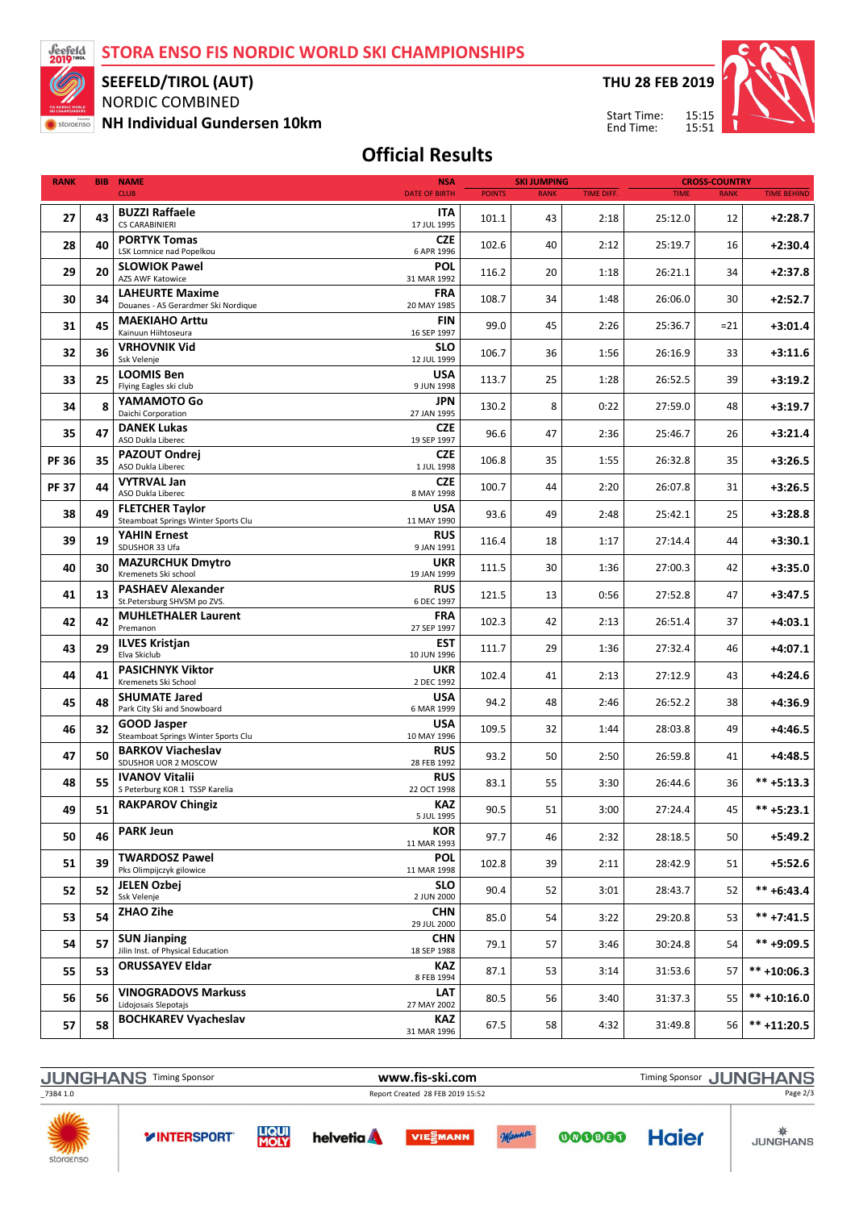STORA ENSO FIS NORDIC WORLD SKI CHAMPIONSHIPS



storaenso

SEEFELD/TIROL (AUT)

NORDIC COMBINED NH Individual Gundersen 10km THU 28 FEB 2019

Start Time: End Time:



## Official Results

| <b>RANK</b>  | <b>BIB</b> | <b>NAME</b><br><b>NSA</b>                                                                |               | <b>SKI JUMPING</b> |                   | <b>CROSS-COUNTRY</b> |             |                    |
|--------------|------------|------------------------------------------------------------------------------------------|---------------|--------------------|-------------------|----------------------|-------------|--------------------|
|              |            | <b>CLUB</b><br><b>DATE OF BIRTH</b>                                                      | <b>POINTS</b> | <b>RANK</b>        | <b>TIME DIFF.</b> | <b>TIME</b>          | <b>RANK</b> | <b>TIME BEHIND</b> |
| 27           | 43         | <b>BUZZI Raffaele</b><br><b>ITA</b><br><b>CS CARABINIERI</b><br>17 JUL 1995              | 101.1         | 43                 | 2:18              | 25:12.0              | 12          | $+2:28.7$          |
| 28           | 40         | <b>PORTYK Tomas</b><br><b>CZE</b>                                                        | 102.6         | 40                 | 2:12              | 25:19.7              | 16          | $+2:30.4$          |
| 29           | 20         | LSK Lomnice nad Popelkou<br>6 APR 1996<br><b>SLOWIOK Pawel</b><br><b>POL</b>             | 116.2         | 20                 | 1:18              | 26:21.1              | 34          | $+2:37.8$          |
|              |            | <b>AZS AWF Katowice</b><br>31 MAR 1992<br><b>LAHEURTE Maxime</b><br><b>FRA</b>           |               |                    |                   |                      |             |                    |
| 30           | 34         | Douanes - AS Gerardmer Ski Nordique<br>20 MAY 1985<br><b>FIN</b>                         | 108.7         | 34                 | 1:48              | 26:06.0              | 30          | $+2:52.7$          |
| 31           | 45         | <b>MAEKIAHO Arttu</b><br>Kainuun Hiihtoseura<br>16 SEP 1997                              | 99.0          | 45                 | 2:26              | 25:36.7              | $= 21$      | $+3:01.4$          |
| 32           | 36         | <b>VRHOVNIK Vid</b><br>SLO<br>Ssk Velenje<br>12 JUL 1999                                 | 106.7         | 36                 | 1:56              | 26:16.9              | 33          | $+3:11.6$          |
| 33           | 25         | <b>LOOMIS Ben</b><br><b>USA</b><br>Flying Eagles ski club<br>9 JUN 1998                  | 113.7         | 25                 | 1:28              | 26:52.5              | 39          | $+3:19.2$          |
| 34           | 8          | YAMAMOTO Go<br><b>JPN</b><br>Daichi Corporation<br>27 JAN 1995                           | 130.2         | 8                  | 0:22              | 27:59.0              | 48          | $+3:19.7$          |
| 35           | 47         | <b>DANEK Lukas</b><br><b>CZE</b><br>ASO Dukla Liberec<br>19 SEP 1997                     | 96.6          | 47                 | 2:36              | 25:46.7              | 26          | $+3:21.4$          |
| <b>PF 36</b> | 35         | <b>PAZOUT Ondrej</b><br><b>CZE</b>                                                       | 106.8         | 35                 | 1:55              | 26:32.8              | 35          | $+3:26.5$          |
| <b>PF 37</b> | 44         | ASO Dukla Liberec<br>1 JUL 1998<br><b>VYTRVAL Jan</b><br><b>CZE</b>                      | 100.7         | 44                 | 2:20              | 26:07.8              | 31          | $+3:26.5$          |
| 38           | 49         | ASO Dukla Liberec<br>8 MAY 1998<br><b>FLETCHER Taylor</b><br><b>USA</b>                  | 93.6          | 49                 | 2:48              | 25:42.1              | 25          | $+3:28.8$          |
| 39           | 19         | Steamboat Springs Winter Sports Clu<br>11 MAY 1990<br><b>YAHIN Ernest</b><br><b>RUS</b>  |               | 18                 |                   |                      | 44          | $+3:30.1$          |
|              |            | SDUSHOR 33 Ufa<br>9 JAN 1991<br><b>UKR</b><br><b>MAZURCHUK Dmytro</b>                    | 116.4         |                    | 1:17              | 27:14.4              |             |                    |
| 40           | 30         | Kremenets Ski school<br>19 JAN 1999<br><b>PASHAEV Alexander</b><br><b>RUS</b>            | 111.5         | 30                 | 1:36              | 27:00.3              | 42          | $+3:35.0$          |
| 41           | 13         | 6 DEC 1997<br>St.Petersburg SHVSM po ZVS.                                                | 121.5         | 13                 | 0:56              | 27:52.8              | 47          | $+3:47.5$          |
| 42           | 42         | <b>MUHLETHALER Laurent</b><br><b>FRA</b><br>Premanon<br>27 SEP 1997                      | 102.3         | 42                 | 2:13              | 26:51.4              | 37          | $+4:03.1$          |
| 43           | 29         | <b>EST</b><br><b>ILVES Kristjan</b><br>Elva Skiclub<br>10 JUN 1996                       | 111.7         | 29                 | 1:36              | 27:32.4              | 46          | $+4:07.1$          |
| 44           | 41         | <b>PASICHNYK Viktor</b><br><b>UKR</b><br>Kremenets Ski School<br>2 DEC 1992              | 102.4         | 41                 | 2:13              | 27:12.9              | 43          | $+4:24.6$          |
| 45           | 48         | <b>SHUMATE Jared</b><br><b>USA</b><br>Park City Ski and Snowboard<br>6 MAR 1999          | 94.2          | 48                 | 2:46              | 26:52.2              | 38          | $+4:36.9$          |
| 46           | 32         | <b>GOOD Jasper</b><br><b>USA</b><br>Steamboat Springs Winter Sports Clu<br>10 MAY 1996   | 109.5         | 32                 | 1:44              | 28:03.8              | 49          | $+4:46.5$          |
| 47           | 50         | <b>BARKOV Viacheslav</b><br><b>RUS</b><br>SDUSHOR UOR 2 MOSCOW<br>28 FEB 1992            | 93.2          | 50                 | 2:50              | 26:59.8              | 41          | +4:48.5            |
| 48           | 55         | <b>IVANOV Vitalii</b><br><b>RUS</b><br>S Peterburg KOR 1 TSSP Karelia<br>22 OCT 1998     | 83.1          | 55                 | 3:30              | 26:44.6              | 36          | $*** +5:13.3$      |
| 49           | 51         | <b>RAKPAROV Chingiz</b><br><b>KAZ</b><br>5 JUL 1995                                      | 90.5          | 51                 | 3:00              | 27:24.4              | 45          | $*** + 5:23.1$     |
| 50           | 46         | <b>PARK Jeun</b><br><b>KOR</b><br>11 MAR 1993                                            | 97.7          | 46                 | 2:32              | 28:18.5              | 50          | $+5:49.2$          |
| 51           | 39         | <b>TWARDOSZ Pawel</b><br><b>POL</b><br>Pks Olimpijczyk gilowice<br>11 MAR 1998           | 102.8         | 39                 | 2:11              | 28:42.9              | 51          | $+5:52.6$          |
| 52           | 52         | JELEN Ozbej<br><b>SLO</b>                                                                | 90.4          | 52                 | 3:01              | 28:43.7              | 52          | $*** + 6:43.4$     |
| 53           | 54         | Ssk Velenje<br>2 JUN 2000<br><b>ZHAO Zihe</b><br><b>CHN</b>                              | 85.0          | 54                 | 3:22              | 29:20.8              | 53          | $*** +7:41.5$      |
| 54           | 57         | 29 JUL 2000<br><b>SUN Jianping</b><br><b>CHN</b>                                         | 79.1          | 57                 | 3:46              | 30:24.8              | 54          | ** +9:09.5         |
| 55           | 53         | Jilin Inst. of Physical Education<br>18 SEP 1988<br><b>ORUSSAYEV Eldar</b><br><b>KAZ</b> | 87.1          | 53                 | 3:14              | 31:53.6              | 57          | $*** + 10:06.3$    |
| 56           | 56         | 8 FEB 1994<br><b>VINOGRADOVS Markuss</b><br><b>LAT</b>                                   | 80.5          | 56                 | 3:40              | 31:37.3              | 55          | $*** + 10:16.0$    |
|              |            | Lidojosais Slepotajs<br>27 MAY 2002<br><b>BOCHKAREV Vyacheslav</b><br>KAZ                |               |                    |                   |                      |             |                    |
| 57           | 58         | 31 MAR 1996                                                                              | 67.5          | 58                 | 4:32              | 31:49.8              | 56          | $*** + 11:20.5$    |